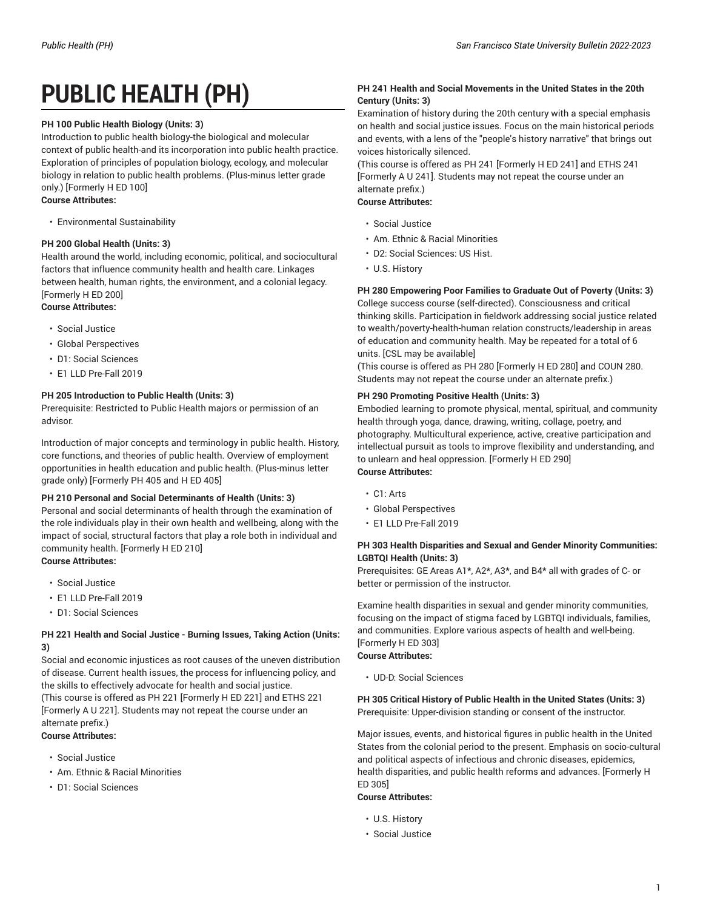# **PUBLIC HEALTH (PH)**

## **PH 100 Public Health Biology (Units: 3)**

Introduction to public health biology-the biological and molecular context of public health-and its incorporation into public health practice. Exploration of principles of population biology, ecology, and molecular biology in relation to public health problems. (Plus-minus letter grade only.) [Formerly H ED 100] **Course Attributes:**

# • Environmental Sustainability

## **PH 200 Global Health (Units: 3)**

Health around the world, including economic, political, and sociocultural factors that influence community health and health care. Linkages between health, human rights, the environment, and a colonial legacy. [Formerly H ED 200] **Course Attributes:**

- Social Justice
- Global Perspectives
- D1: Social Sciences
- E1 LLD Pre-Fall 2019

## **PH 205 Introduction to Public Health (Units: 3)**

Prerequisite: Restricted to Public Health majors or permission of an advisor.

Introduction of major concepts and terminology in public health. History, core functions, and theories of public health. Overview of employment opportunities in health education and public health. (Plus-minus letter grade only) [Formerly PH 405 and H ED 405]

## **PH 210 Personal and Social Determinants of Health (Units: 3)**

Personal and social determinants of health through the examination of the role individuals play in their own health and wellbeing, along with the impact of social, structural factors that play a role both in individual and community health. [Formerly H ED 210] **Course Attributes:**

• Social Justice

- 
- E1 LLD Pre-Fall 2019

# • D1: Social Sciences

## **PH 221 Health and Social Justice - Burning Issues, Taking Action (Units: 3)**

Social and economic injustices as root causes of the uneven distribution of disease. Current health issues, the process for influencing policy, and the skills to effectively advocate for health and social justice. (This course is offered as PH 221 [Formerly H ED 221] and ETHS 221 [Formerly A U 221]. Students may not repeat the course under an alternate prefix.)

## **Course Attributes:**

- Social Justice
- Am. Ethnic & Racial Minorities
- D1: Social Sciences

## **PH 241 Health and Social Movements in the United States in the 20th Century (Units: 3)**

Examination of history during the 20th century with a special emphasis on health and social justice issues. Focus on the main historical periods and events, with a lens of the "people's history narrative" that brings out voices historically silenced.

(This course is offered as PH 241 [Formerly H ED 241] and ETHS 241 [Formerly A U 241]. Students may not repeat the course under an alternate prefix.) **Course Attributes:**

• Social Justice

- Am. Ethnic & Racial Minorities
- D2: Social Sciences: US Hist.
- U.S. History

## **PH 280 Empowering Poor Families to Graduate Out of Poverty (Units: 3)**

College success course (self-directed). Consciousness and critical thinking skills. Participation in fieldwork addressing social justice related to wealth/poverty-health-human relation constructs/leadership in areas of education and community health. May be repeated for a total of 6 units. [CSL may be available]

(This course is offered as PH 280 [Formerly H ED 280] and COUN 280. Students may not repeat the course under an alternate prefix.)

## **PH 290 Promoting Positive Health (Units: 3)**

Embodied learning to promote physical, mental, spiritual, and community health through yoga, dance, drawing, writing, collage, poetry, and photography. Multicultural experience, active, creative participation and intellectual pursuit as tools to improve flexibility and understanding, and to unlearn and heal oppression. [Formerly H ED 290] **Course Attributes:**

- C1: Arts
- Global Perspectives
- E1 LLD Pre-Fall 2019

## **PH 303 Health Disparities and Sexual and Gender Minority Communities: LGBTQI Health (Units: 3)**

Prerequisites: GE Areas A1\*, A2\*, A3\*, and B4\* all with grades of C- or better or permission of the instructor.

Examine health disparities in sexual and gender minority communities, focusing on the impact of stigma faced by LGBTQI individuals, families, and communities. Explore various aspects of health and well-being. [Formerly H ED 303]

## **Course Attributes:**

• UD-D: Social Sciences

**PH 305 Critical History of Public Health in the United States (Units: 3)** Prerequisite: Upper-division standing or consent of the instructor.

Major issues, events, and historical figures in public health in the United States from the colonial period to the present. Emphasis on socio-cultural and political aspects of infectious and chronic diseases, epidemics, health disparities, and public health reforms and advances. [Formerly H ED 305]

## **Course Attributes:**

- U.S. History
- Social Justice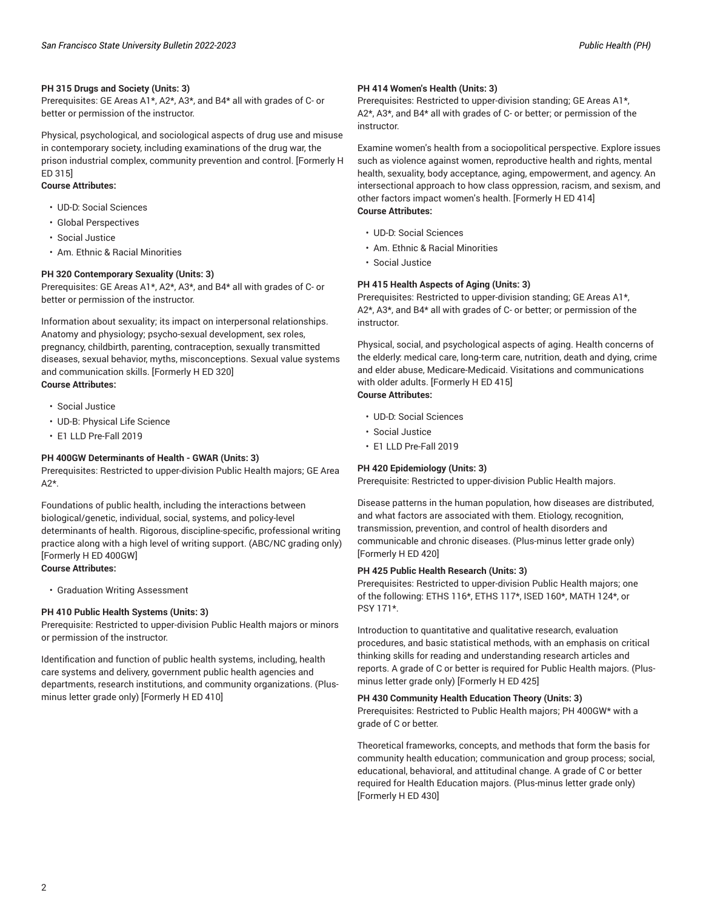## **PH 315 Drugs and Society (Units: 3)**

Prerequisites: GE Areas A1\*, A2\*, A3\*, and B4\* all with grades of C- or better or permission of the instructor.

Physical, psychological, and sociological aspects of drug use and misuse in contemporary society, including examinations of the drug war, the prison industrial complex, community prevention and control. [Formerly H ED 315]

#### **Course Attributes:**

- UD-D: Social Sciences
- Global Perspectives
- Social Justice
- Am. Ethnic & Racial Minorities

#### **PH 320 Contemporary Sexuality (Units: 3)**

Prerequisites: GE Areas A1\*, A2\*, A3\*, and B4\* all with grades of C- or better or permission of the instructor.

Information about sexuality; its impact on interpersonal relationships. Anatomy and physiology; psycho-sexual development, sex roles, pregnancy, childbirth, parenting, contraception, sexually transmitted diseases, sexual behavior, myths, misconceptions. Sexual value systems and communication skills. [Formerly H ED 320] **Course Attributes:**

- Social Justice
- UD-B: Physical Life Science
- E1 LLD Pre-Fall 2019

#### **PH 400GW Determinants of Health - GWAR (Units: 3)**

Prerequisites: Restricted to upper-division Public Health majors; GE Area  $A2*$ 

Foundations of public health, including the interactions between biological/genetic, individual, social, systems, and policy-level determinants of health. Rigorous, discipline-specific, professional writing practice along with a high level of writing support. (ABC/NC grading only) [Formerly H ED 400GW] **Course Attributes:**

• Graduation Writing Assessment

#### **PH 410 Public Health Systems (Units: 3)**

Prerequisite: Restricted to upper-division Public Health majors or minors or permission of the instructor.

Identification and function of public health systems, including, health care systems and delivery, government public health agencies and departments, research institutions, and community organizations. (Plusminus letter grade only) [Formerly H ED 410]

### **PH 414 Women's Health (Units: 3)**

Prerequisites: Restricted to upper-division standing; GE Areas A1\*, A2\*, A3\*, and B4\* all with grades of C- or better; or permission of the instructor.

Examine women's health from a sociopolitical perspective. Explore issues such as violence against women, reproductive health and rights, mental health, sexuality, body acceptance, aging, empowerment, and agency. An intersectional approach to how class oppression, racism, and sexism, and other factors impact women's health. [Formerly H ED 414] **Course Attributes:**

- UD-D: Social Sciences
- Am. Ethnic & Racial Minorities
- Social Justice

#### **PH 415 Health Aspects of Aging (Units: 3)**

Prerequisites: Restricted to upper-division standing; GE Areas A1\*, A2\*, A3\*, and B4\* all with grades of C- or better; or permission of the instructor.

Physical, social, and psychological aspects of aging. Health concerns of the elderly: medical care, long-term care, nutrition, death and dying, crime and elder abuse, Medicare-Medicaid. Visitations and communications with older adults. [Formerly H ED 415] **Course Attributes:**

- UD-D: Social Sciences
- Social Justice
- E1 LLD Pre-Fall 2019

## **PH 420 Epidemiology (Units: 3)**

Prerequisite: Restricted to upper-division Public Health majors.

Disease patterns in the human population, how diseases are distributed, and what factors are associated with them. Etiology, recognition, transmission, prevention, and control of health disorders and communicable and chronic diseases. (Plus-minus letter grade only) [Formerly H ED 420]

#### **PH 425 Public Health Research (Units: 3)**

Prerequisites: Restricted to upper-division Public Health majors; one of the following: ETHS 116\*, ETHS 117\*, ISED 160\*, MATH 124\*, or PSY 171\*.

Introduction to quantitative and qualitative research, evaluation procedures, and basic statistical methods, with an emphasis on critical thinking skills for reading and understanding research articles and reports. A grade of C or better is required for Public Health majors. (Plusminus letter grade only) [Formerly H ED 425]

## **PH 430 Community Health Education Theory (Units: 3)**

Prerequisites: Restricted to Public Health majors; PH 400GW\* with a grade of C or better.

Theoretical frameworks, concepts, and methods that form the basis for community health education; communication and group process; social, educational, behavioral, and attitudinal change. A grade of C or better required for Health Education majors. (Plus-minus letter grade only) [Formerly H ED 430]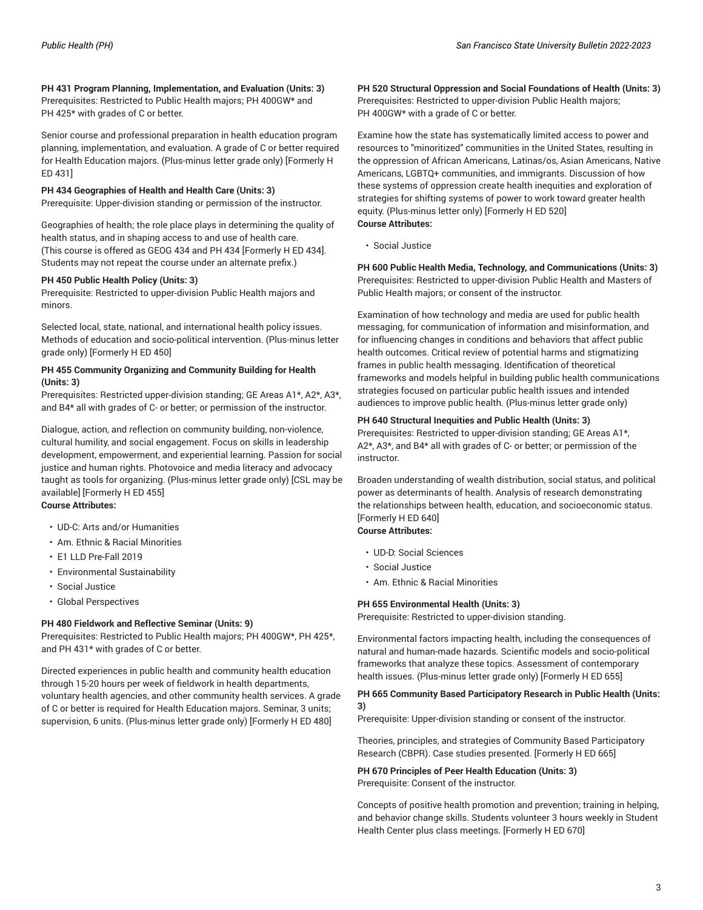**PH 431 Program Planning, Implementation, and Evaluation (Units: 3)** Prerequisites: Restricted to Public Health majors; PH 400GW\* and PH 425\* with grades of C or better.

Senior course and professional preparation in health education program planning, implementation, and evaluation. A grade of C or better required for Health Education majors. (Plus-minus letter grade only) [Formerly H ED 431]

## **PH 434 Geographies of Health and Health Care (Units: 3)**

Prerequisite: Upper-division standing or permission of the instructor.

Geographies of health; the role place plays in determining the quality of health status, and in shaping access to and use of health care. (This course is offered as GEOG 434 and PH 434 [Formerly H ED 434]. Students may not repeat the course under an alternate prefix.)

#### **PH 450 Public Health Policy (Units: 3)**

Prerequisite: Restricted to upper-division Public Health majors and minors.

Selected local, state, national, and international health policy issues. Methods of education and socio-political intervention. (Plus-minus letter grade only) [Formerly H ED 450]

#### **PH 455 Community Organizing and Community Building for Health (Units: 3)**

Prerequisites: Restricted upper-division standing; GE Areas A1\*, A2\*, A3\*, and B4\* all with grades of C- or better; or permission of the instructor.

Dialogue, action, and reflection on community building, non-violence, cultural humility, and social engagement. Focus on skills in leadership development, empowerment, and experiential learning. Passion for social justice and human rights. Photovoice and media literacy and advocacy taught as tools for organizing. (Plus-minus letter grade only) [CSL may be available] [Formerly H ED 455] **Course Attributes:**

- UD-C: Arts and/or Humanities
- Am. Ethnic & Racial Minorities
- E1 LLD Pre-Fall 2019
- Environmental Sustainability
- Social Justice
- Global Perspectives

#### **PH 480 Fieldwork and Reflective Seminar (Units: 9)**

Prerequisites: Restricted to Public Health majors; PH 400GW\*, PH 425\*, and PH 431\* with grades of C or better.

Directed experiences in public health and community health education through 15-20 hours per week of fieldwork in health departments, voluntary health agencies, and other community health services. A grade of C or better is required for Health Education majors. Seminar, 3 units; supervision, 6 units. (Plus-minus letter grade only) [Formerly H ED 480]

**PH 520 Structural Oppression and Social Foundations of Health (Units: 3)** Prerequisites: Restricted to upper-division Public Health majors; PH 400GW\* with a grade of C or better.

Examine how the state has systematically limited access to power and resources to "minoritized" communities in the United States, resulting in the oppression of African Americans, Latinas/os, Asian Americans, Native Americans, LGBTQ+ communities, and immigrants. Discussion of how these systems of oppression create health inequities and exploration of strategies for shifting systems of power to work toward greater health equity. (Plus-minus letter only) [Formerly H ED 520] **Course Attributes:**

• Social Justice

**PH 600 Public Health Media, Technology, and Communications (Units: 3)** Prerequisites: Restricted to upper-division Public Health and Masters of Public Health majors; or consent of the instructor.

Examination of how technology and media are used for public health messaging, for communication of information and misinformation, and for influencing changes in conditions and behaviors that affect public health outcomes. Critical review of potential harms and stigmatizing frames in public health messaging. Identification of theoretical frameworks and models helpful in building public health communications strategies focused on particular public health issues and intended audiences to improve public health. (Plus-minus letter grade only)

#### **PH 640 Structural Inequities and Public Health (Units: 3)**

Prerequisites: Restricted to upper-division standing; GE Areas A1\*, A2\*, A3\*, and B4\* all with grades of C- or better; or permission of the instructor.

Broaden understanding of wealth distribution, social status, and political power as determinants of health. Analysis of research demonstrating the relationships between health, education, and socioeconomic status. [Formerly H ED 640]

## **Course Attributes:**

- UD-D: Social Sciences
- Social Justice
- Am. Ethnic & Racial Minorities

#### **PH 655 Environmental Health (Units: 3)**

Prerequisite: Restricted to upper-division standing.

Environmental factors impacting health, including the consequences of natural and human-made hazards. Scientific models and socio-political frameworks that analyze these topics. Assessment of contemporary health issues. (Plus-minus letter grade only) [Formerly H ED 655]

#### **PH 665 Community Based Participatory Research in Public Health (Units: 3)**

Prerequisite: Upper-division standing or consent of the instructor.

Theories, principles, and strategies of Community Based Participatory Research (CBPR). Case studies presented. [Formerly H ED 665]

## **PH 670 Principles of Peer Health Education (Units: 3)** Prerequisite: Consent of the instructor.

Concepts of positive health promotion and prevention; training in helping, and behavior change skills. Students volunteer 3 hours weekly in Student Health Center plus class meetings. [Formerly H ED 670]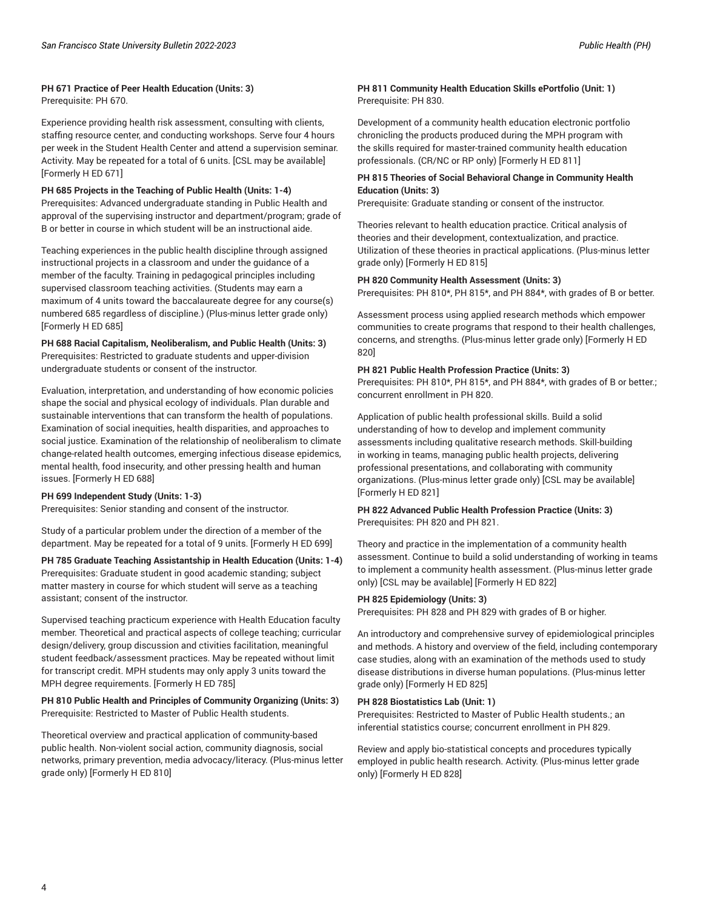## **PH 671 Practice of Peer Health Education (Units: 3)** Prerequisite: PH 670.

Experience providing health risk assessment, consulting with clients, staffing resource center, and conducting workshops. Serve four 4 hours per week in the Student Health Center and attend a supervision seminar. Activity. May be repeated for a total of 6 units. [CSL may be available] [Formerly H ED 671]

## **PH 685 Projects in the Teaching of Public Health (Units: 1-4)**

Prerequisites: Advanced undergraduate standing in Public Health and approval of the supervising instructor and department/program; grade of B or better in course in which student will be an instructional aide.

Teaching experiences in the public health discipline through assigned instructional projects in a classroom and under the guidance of a member of the faculty. Training in pedagogical principles including supervised classroom teaching activities. (Students may earn a maximum of 4 units toward the baccalaureate degree for any course(s) numbered 685 regardless of discipline.) (Plus-minus letter grade only) [Formerly H ED 685]

**PH 688 Racial Capitalism, Neoliberalism, and Public Health (Units: 3)** Prerequisites: Restricted to graduate students and upper-division undergraduate students or consent of the instructor.

Evaluation, interpretation, and understanding of how economic policies shape the social and physical ecology of individuals. Plan durable and sustainable interventions that can transform the health of populations. Examination of social inequities, health disparities, and approaches to social justice. Examination of the relationship of neoliberalism to climate change-related health outcomes, emerging infectious disease epidemics, mental health, food insecurity, and other pressing health and human issues. [Formerly H ED 688]

## **PH 699 Independent Study (Units: 1-3)**

Prerequisites: Senior standing and consent of the instructor.

Study of a particular problem under the direction of a member of the department. May be repeated for a total of 9 units. [Formerly H ED 699]

## **PH 785 Graduate Teaching Assistantship in Health Education (Units: 1-4)**

Prerequisites: Graduate student in good academic standing; subject matter mastery in course for which student will serve as a teaching assistant; consent of the instructor.

Supervised teaching practicum experience with Health Education faculty member. Theoretical and practical aspects of college teaching; curricular design/delivery, group discussion and ctivities facilitation, meaningful student feedback/assessment practices. May be repeated without limit for transcript credit. MPH students may only apply 3 units toward the MPH degree requirements. [Formerly H ED 785]

## **PH 810 Public Health and Principles of Community Organizing (Units: 3)** Prerequisite: Restricted to Master of Public Health students.

Theoretical overview and practical application of community-based public health. Non-violent social action, community diagnosis, social networks, primary prevention, media advocacy/literacy. (Plus-minus letter grade only) [Formerly H ED 810]

## **PH 811 Community Health Education Skills ePortfolio (Unit: 1)** Prerequisite: PH 830.

Development of a community health education electronic portfolio chronicling the products produced during the MPH program with the skills required for master-trained community health education professionals. (CR/NC or RP only) [Formerly H ED 811]

## **PH 815 Theories of Social Behavioral Change in Community Health Education (Units: 3)**

Prerequisite: Graduate standing or consent of the instructor.

Theories relevant to health education practice. Critical analysis of theories and their development, contextualization, and practice. Utilization of these theories in practical applications. (Plus-minus letter grade only) [Formerly H ED 815]

## **PH 820 Community Health Assessment (Units: 3)**

Prerequisites: PH 810\*, PH 815\*, and PH 884\*, with grades of B or better.

Assessment process using applied research methods which empower communities to create programs that respond to their health challenges, concerns, and strengths. (Plus-minus letter grade only) [Formerly H ED 820]

## **PH 821 Public Health Profession Practice (Units: 3)**

Prerequisites: PH 810\*, PH 815\*, and PH 884\*, with grades of B or better.; concurrent enrollment in PH 820.

Application of public health professional skills. Build a solid understanding of how to develop and implement community assessments including qualitative research methods. Skill-building in working in teams, managing public health projects, delivering professional presentations, and collaborating with community organizations. (Plus-minus letter grade only) [CSL may be available] [Formerly H ED 821]

## **PH 822 Advanced Public Health Profession Practice (Units: 3)** Prerequisites: PH 820 and PH 821.

Theory and practice in the implementation of a community health assessment. Continue to build a solid understanding of working in teams to implement a community health assessment. (Plus-minus letter grade only) [CSL may be available] [Formerly H ED 822]

## **PH 825 Epidemiology (Units: 3)**

Prerequisites: PH 828 and PH 829 with grades of B or higher.

An introductory and comprehensive survey of epidemiological principles and methods. A history and overview of the field, including contemporary case studies, along with an examination of the methods used to study disease distributions in diverse human populations. (Plus-minus letter grade only) [Formerly H ED 825]

## **PH 828 Biostatistics Lab (Unit: 1)**

Prerequisites: Restricted to Master of Public Health students.; an inferential statistics course; concurrent enrollment in PH 829.

Review and apply bio-statistical concepts and procedures typically employed in public health research. Activity. (Plus-minus letter grade only) [Formerly H ED 828]